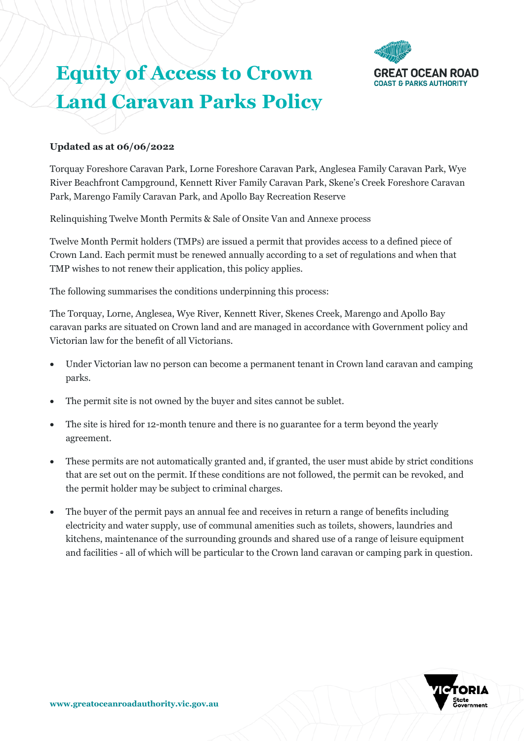

# **Equity of Access to Crown Land Caravan Parks Policy**

## **Updated as at 06/06/2022**

Torquay Foreshore Caravan Park, Lorne Foreshore Caravan Park, Anglesea Family Caravan Park, Wye River Beachfront Campground, Kennett River Family Caravan Park, Skene's Creek Foreshore Caravan Park, Marengo Family Caravan Park, and Apollo Bay Recreation Reserve

Relinquishing Twelve Month Permits & Sale of Onsite Van and Annexe process

Twelve Month Permit holders (TMPs) are issued a permit that provides access to a defined piece of Crown Land. Each permit must be renewed annually according to a set of regulations and when that TMP wishes to not renew their application, this policy applies.

The following summarises the conditions underpinning this process:

The Torquay, Lorne, Anglesea, Wye River, Kennett River, Skenes Creek, Marengo and Apollo Bay caravan parks are situated on Crown land and are managed in accordance with Government policy and Victorian law for the benefit of all Victorians.

- Under Victorian law no person can become a permanent tenant in Crown land caravan and camping parks.
- The permit site is not owned by the buyer and sites cannot be sublet.
- The site is hired for 12-month tenure and there is no guarantee for a term beyond the yearly agreement.
- These permits are not automatically granted and, if granted, the user must abide by strict conditions that are set out on the permit. If these conditions are not followed, the permit can be revoked, and the permit holder may be subject to criminal charges.
- The buyer of the permit pays an annual fee and receives in return a range of benefits including electricity and water supply, use of communal amenities such as toilets, showers, laundries and kitchens, maintenance of the surrounding grounds and shared use of a range of leisure equipment and facilities - all of which will be particular to the Crown land caravan or camping park in question.

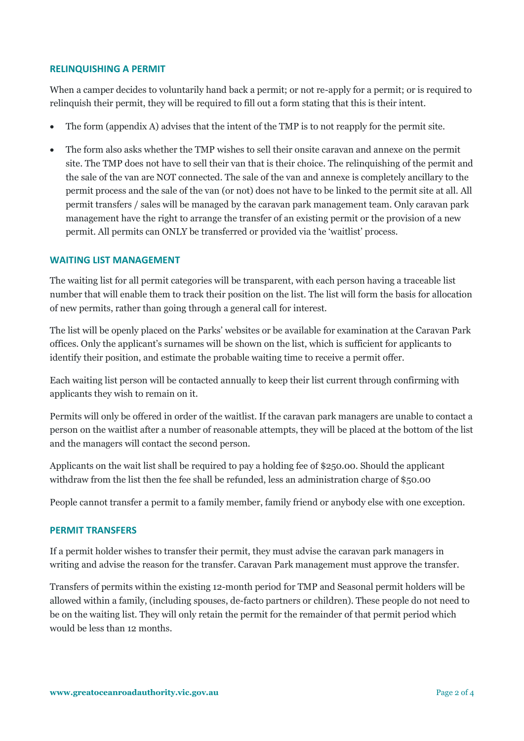#### **RELINQUISHING A PERMIT**

When a camper decides to voluntarily hand back a permit; or not re-apply for a permit; or is required to relinquish their permit, they will be required to fill out a form stating that this is their intent.

- The form (appendix A) advises that the intent of the TMP is to not reapply for the permit site.
- The form also asks whether the TMP wishes to sell their onsite caravan and annexe on the permit site. The TMP does not have to sell their van that is their choice. The relinquishing of the permit and the sale of the van are NOT connected. The sale of the van and annexe is completely ancillary to the permit process and the sale of the van (or not) does not have to be linked to the permit site at all. All permit transfers / sales will be managed by the caravan park management team. Only caravan park management have the right to arrange the transfer of an existing permit or the provision of a new permit. All permits can ONLY be transferred or provided via the 'waitlist' process.

#### **WAITING LIST MANAGEMENT**

The waiting list for all permit categories will be transparent, with each person having a traceable list number that will enable them to track their position on the list. The list will form the basis for allocation of new permits, rather than going through a general call for interest.

The list will be openly placed on the Parks' websites or be available for examination at the Caravan Park offices. Only the applicant's surnames will be shown on the list, which is sufficient for applicants to identify their position, and estimate the probable waiting time to receive a permit offer.

Each waiting list person will be contacted annually to keep their list current through confirming with applicants they wish to remain on it.

Permits will only be offered in order of the waitlist. If the caravan park managers are unable to contact a person on the waitlist after a number of reasonable attempts, they will be placed at the bottom of the list and the managers will contact the second person.

Applicants on the wait list shall be required to pay a holding fee of \$250.00. Should the applicant withdraw from the list then the fee shall be refunded, less an administration charge of \$50.00

People cannot transfer a permit to a family member, family friend or anybody else with one exception.

#### **PERMIT TRANSFERS**

If a permit holder wishes to transfer their permit, they must advise the caravan park managers in writing and advise the reason for the transfer. Caravan Park management must approve the transfer.

Transfers of permits within the existing 12-month period for TMP and Seasonal permit holders will be allowed within a family, (including spouses, de-facto partners or children). These people do not need to be on the waiting list. They will only retain the permit for the remainder of that permit period which would be less than 12 months.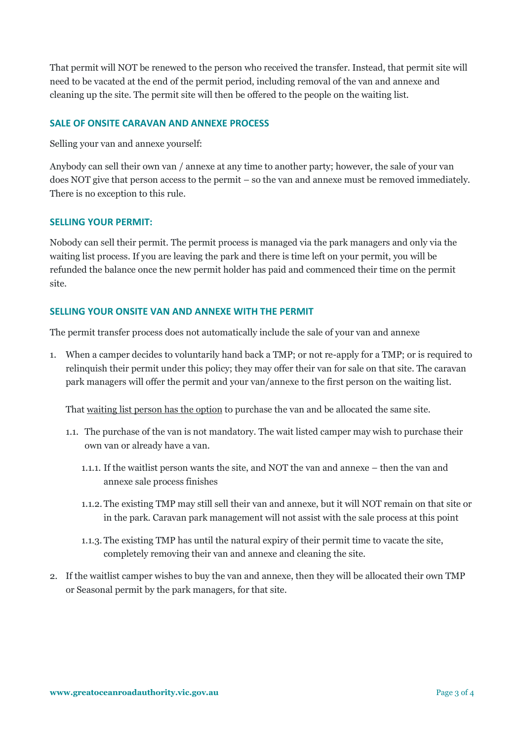That permit will NOT be renewed to the person who received the transfer. Instead, that permit site will need to be vacated at the end of the permit period, including removal of the van and annexe and cleaning up the site. The permit site will then be offered to the people on the waiting list.

## **SALE OF ONSITE CARAVAN AND ANNEXE PROCESS**

Selling your van and annexe yourself:

Anybody can sell their own van / annexe at any time to another party; however, the sale of your van does NOT give that person access to the permit – so the van and annexe must be removed immediately. There is no exception to this rule.

#### **SELLING YOUR PERMIT:**

Nobody can sell their permit. The permit process is managed via the park managers and only via the waiting list process. If you are leaving the park and there is time left on your permit, you will be refunded the balance once the new permit holder has paid and commenced their time on the permit site.

### **SELLING YOUR ONSITE VAN AND ANNEXE WITH THE PERMIT**

The permit transfer process does not automatically include the sale of your van and annexe

1. When a camper decides to voluntarily hand back a TMP; or not re-apply for a TMP; or is required to relinquish their permit under this policy; they may offer their van for sale on that site. The caravan park managers will offer the permit and your van/annexe to the first person on the waiting list.

That waiting list person has the option to purchase the van and be allocated the same site.

- 1.1. The purchase of the van is not mandatory. The wait listed camper may wish to purchase their own van or already have a van.
	- 1.1.1. If the waitlist person wants the site, and NOT the van and annexe then the van and annexe sale process finishes
	- 1.1.2. The existing TMP may still sell their van and annexe, but it will NOT remain on that site or in the park. Caravan park management will not assist with the sale process at this point
	- 1.1.3. The existing TMP has until the natural expiry of their permit time to vacate the site, completely removing their van and annexe and cleaning the site.
- 2. If the waitlist camper wishes to buy the van and annexe, then they will be allocated their own TMP or Seasonal permit by the park managers, for that site.